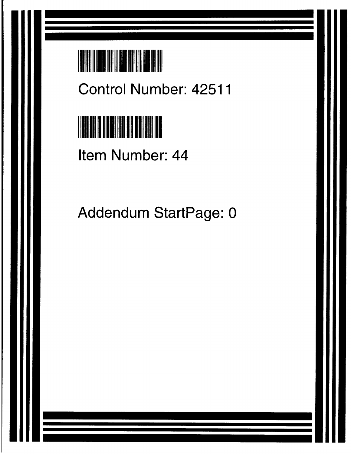# **TAR ANTIFICATION**

**Control Number**: **42511**



**Item Number**: **44**

Addendum StartPage: 0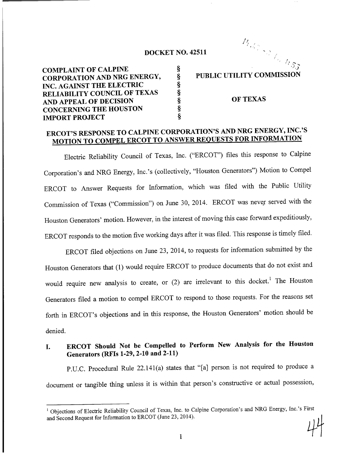### DOCKET NO. 42511

COMPLAINT OF CALPINE \$<br>CORPORATION AND NRG ENERGY, \$ CORPORATION AND NRG ENERGY, §<br>
INC. AGAINST THE ELECTRIC §<br>
RELIABILITY COUNCIL OF TEXAS §<br>
AND APPEAL OF DECISION §<br>
CONCERNING THE HOUSTON §<br>
IMPORT PROJECT § INC. AGAINST THE ELECTRIC RELIABILITY COUNCIL OF TEXAS AND APPEAL OF DECISION CONCERNING THE HOUSTON **IMPORT PROJECT** 

#### PUBLIC UTILITY COMMISSION

 $\hat{\gamma}$  .

m 1

#### OF TEXAS

## ERCOT'S RESPONSE TO CALPINE CORPORATION'S AND NRG ENERGY, INC.'S MOTION TO COMPEL ERCOT TO ANSWER REQUESTS FOR INFORMATION

**Electric Reliability Council of Texas,** Inc. ("ERCOT") **files this response to Calpine** Corporation's and NRG Energy, Inc.'s (collectively, "Houston Generators") Motion to Compel ERCOT to Answer Requests for Information, which was filed with the Public Utility Commission of Texas ("Commission") on June 30, 2014. ERCOT was never served with the Houston Generators' motion. However, in the interest of moving this case forward expeditiously, ERCOT responds to the motion five working days after it was filed. This response is timely filed.

ERCOT filed objections on June 23, 2014, to requests for information submitted by the Houston Generators that (1) would require ERCOT to produce documents that do not exist and would require new analysis to create, or (2) are irrelevant to this docket.<sup>1</sup> The Houston Generators filed a motion to compel ERCOT to respond to those requests. For the reasons set forth in ERCOT's objections and in this response, the Houston Generators' motion should be denied.

## **1. ERCOT Should Not be Compelled to Perform New Analysis for the Houston Generators** (**RFIs 1-29, 2-10 and 2-11)**

P.U.C. Procedural Rule 22.141(a) states that "[a] person is not required to produce a document or tangible thing unless it is within that person's constructive or actual possession,

<sup>&</sup>lt;sup>1</sup> Objections of Electric Reliability Council of Texas, Inc. to Calpine Corporation's and NRG Energy, Inc.'s Firs and Second Request for Information to ERCOT (June 23, 2014).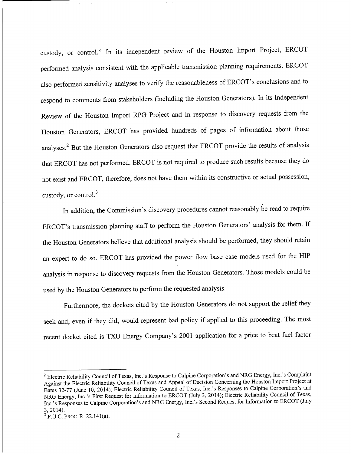custody, or control." In its independent review of the Houston Import Project, ERCOT performed analysis consistent with the applicable transmission planning requirements. ERCOT also performed sensitivity analyses to verify the reasonableness of ERCOT's conclusions and to respond to comments from stakeholders (including the Houston Generators). In its Independent Review of the Houston Import RPG Project and in response to discovery requests from the Houston Generators, ERCOT has provided hundreds of pages of information about those analyses.2 But the Houston Generators also request that ERCOT provide the results of analysis that ERCOT has not performed. ERCOT is not required to produce such results because they do not exist and ERCOT, therefore, does not have them within its constructive or actual possession, custody, or control.<sup>3</sup>

In addition, the Commission's discovery procedures cannot reasonably be read to require ERCOT's transmission planning staff to perform the Houston Generators' analysis for them. If the Houston Generators believe that additional analysis should be performed, they should retain an expert to do so. ERCOT has provided the power flow base case models used for the HIP analysis in response to discovery requests from the Houston Generators. Those models could be used by the Houston Generators to perform the requested analysis.

Furthermore, the dockets cited by the Houston Generators do not support the relief they seek and, even if they did, would represent bad policy if applied to this proceeding. The most recent docket cited is TXU Energy Company's 2001 application for a price to beat fuel factor

**<sup>2</sup> Electric Reliability Council of Texas, Inc.'s Response to Calpine Corporation's and NRG Energy, Inc.'s Complaint Against the Electric Reliability Council of Texas and Appeal of Decision Concerning the Houston Import Project at Bates 32-77** (**June 10, 2014); Electric Reliability Council of Texas, Inc.'s Responses to Calpine Corporation's and NRG Energy, Inc.'s First Request for Information** to ERCOT (July 3, **2014); Electric Reliability Council of Texas, Inc.'s Responses to Calpine Corporation's and NRG Energy, Inc.'s Second Request for Information** to ERCOT (July 3, 2014).

<sup>3</sup> P.U.C. PROC. R. 22.141(a).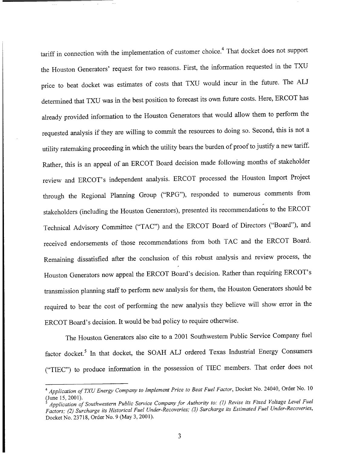tariff in connection with the implementation of customer choice.<sup>4</sup> That docket does not support the Houston Generators' request for two reasons. First, the information requested in the TXU price to beat docket was estimates of costs that TXU would incur in the future. The ALJ determined that TXU was in the best position to forecast its own future costs. Here, ERCOT has already provided information to the Houston Generators that would allow them to perform the requested analysis if they are willing to commit the resources to doing so. Second, this is not a utility ratemaking proceeding in which the utility bears the burden of proof to justify a new tariff. Rather, this is an appeal of an ERCOT Board decision made following months of stakeholder review and ERCOT's independent analysis. ERCOT processed the Houston Import Project through the Regional Planning Group ("RPG"), responded to numerous comments from stakeholders (including the Houston Generators), presented its recommendations to the ERCOT Technical Advisory Committee ("TAC") and the ERCOT Board of Directors ("Board"), and received endorsements of those recommendations from both TAC and the ERCOT Board. Remaining dissatisfied after the conclusion of this robust analysis and review process, the Houston Generators now appeal the ERCOT Board's decision. Rather than requiring ERCOT's transmission planning staff to perform new analysis for them, the Houston Generators should be required to bear the cost of performing the new analysis they believe will show error in the ERCOT Board's decision. It would be bad policy to require otherwise.

The Houston Generators also cite to a 2001 Southwestern Public Service Company fuel factor docket.5 In that docket, the SOAH ALJ ordered Texas Industrial Energy Consumers (`TIEC") to produce information in the possession of TIEC members. That order does not

*<sup>°</sup> Application of TXU Energy Company to Implement Price to Beat Fuel Factor,* **Docket No. 24040, Order No. 10 (June 15, 2001).**

*<sup>5</sup> Application of Southwestern Public Service Company for Authority to: (1) Revise its Fixed Voltage Level Fuel Factors; (2) Surcharge its Historical Fuel Under-Recoveries; (3) Surcharge its Estimated Fuel Under-Recoveries,* **Docket No. 23718, Order No. 9 (May 3, 2001).**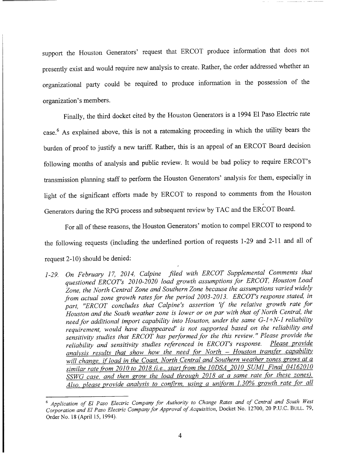**support the Houston Generators' request that** ERCOT **produce information that does not** presently exist and would require new analysis to create. Rather, the order addressed whether an organizational party could be required to produce information in the possession of the organization's members.

Finally, the third docket cited by the Houston Generators is a 1994 El Paso Electric rate case.6 As explained above, this is not a ratemaking proceeding in which the utility bears the burden of proof to justify a new tariff. Rather, this is an appeal of an ERCOT Board decision following months of analysis and public review. It would be bad policy to require ERCOT's transmission planning staff to perform the Houston Generators' analysis for them, especially in light of the significant efforts made by ERCOT to respond to comments from the Houston **Generators during the RPG process and subsequent** review by TAC and the ERCOT Board.

For all of these reasons, the Houston Generators' motion to compel ERCOT to respond to the following requests (including the underlined portion of requests 1-29 and 2-11 and all of request 2-10) should be denied:

*1-29. On February 17, 2014, Calpine filed with ERCOT Supplemental Comments that questioned ERCOT's 2010-2020 load growth assumptions for ERCOT, Houston Load Zone, the North Central Zone and Southern Zone because the assumptions varied widely from actual zone growth rates for the period 2003-2013. ERCOT's response stated, in part, "ERCOT concludes that Calpine's assertion 'if the relative growth rate for Houston and the South weather zone is lower or on par with that of North Central, the need for additional import capability into Houston, under the same G-1 +N-1 reliability requirement, would have disappeared' is not supported based on the reliability and sensitivity studies that ERCOT has performed for the this review. " Please provide the reliability and sensitivity studies referenced in ERCOT's response. Please provide analysis results that show how the need for North - Houston transfer capability* will change, if load in the Coast, North Central and Southern weather zones grows at a *similar rate from 2010 to 2018 (i.e., start from the 10DSA 2010 SUM] Final 04162010 SSWG case, and then grow the load through 2018 at a same rate for these zones).* Also, please provide analysis to confirm, using a uniform 1.30% growth rate for all

*<sup>6</sup> Application of El Paso Electric Company for Authority to Change Rates and of Central and South West Corporation and El Paso Electric Company for Approval of Acquisition,* Docket No. 12700, 20 P.U.C. BULL. 79, Order No. 18 (April 15, 1994).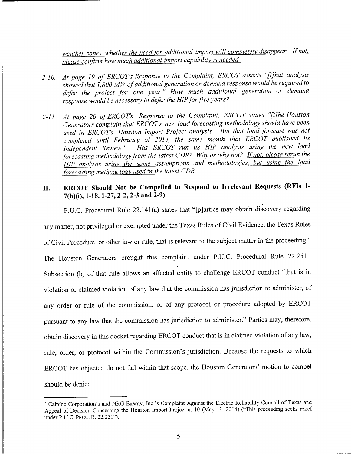*weather zones, whether the need for additional import will completely disappear. If not please confirm how much additional import capability is needed.*

- *2-10. At page 19 of ERCOT's Response to the Complaint. ERCOT asserts "[t]hat analysis showed that 1, 800 MW of additional generation or demand response would be required to* defer the project for one year." How much additional generation or demand *response would be necessary to defer the HIP for five years?*
- *2-11. At page 20 of ERCOT's Response to the Complaint, ERCOT states "[t]he Houston Generators complain that ERCOT's new load forecasting methodology should have been used in ERCOT's Houston Import Project analysis. But that load forecast was not completed until February of 2014, the same month that ERCOT published its Independent Review. " Has ERCOT run its HIP analysis using the new load forecasting methodology from the latest CDR? Why or why not? If not, please rerun the HIP analysis using the same assumptions and methodologies, but using the load forecasting methodology used in the latest CDR.*

## II. ERCOT **Should Not be Compelled to Respond to Irrelevant Requests** (**RFIs 1-** 7(b)(i), **1-18,1-27,2-2,2-3 and 2-9)**

P.U.C. Procedural Rule 22.141(a) states that "[p]arties may obtain discovery regarding any matter, not privileged or exempted under the Texas Rules of Civil Evidence, the Texas Rules of Civil Procedure, or other law or rule, that is relevant to the subject matter in the proceeding." The Houston Generators brought this complaint under P.U.C. Procedural Rule 22.251.7 Subsection (b) of that rule allows an affected entity to challenge ERCOT conduct "that is in violation or claimed violation of any law that the commission has jurisdiction to administer, of any order or rule of the commission, or of any protocol or procedure adopted by ERCOT pursuant to any law that the commission has jurisdiction to administer." Parties may, therefore, obtain discovery in this docket regarding ERCOT conduct that is in claimed violation of any law, rule, order, or protocol within the Commission's jurisdiction. Because the requests to which ERCOT has objected do not fall within that scope, the Houston Generators' motion to compel should be denied.

<sup>&#</sup>x27; Calpine Corporation's and NRG Energy, Inc.'s Complaint Against the Electric Reliability Council of Texas and Appeal of Decision Concerning the Houston Import Project at 10 (May 13, 2014) ("This proceeding seeks relief under P.U.C. PROC. R. 22.251").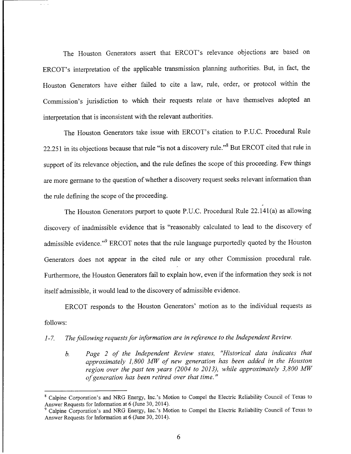The Houston Generators assert that ERCOT's relevance objections are based on ERCOT's interpretation of the applicable transmission planning authorities. But, in fact, the Houston Generators have either failed to cite a law, rule, order, or protocol within the Commission's jurisdiction to which their requests relate or have themselves adopted an interpretation that is inconsistent with the relevant authorities.

The Houston Generators **take issue** with ERCOT's citation to P.U.C. Procedural Rule 22.251 in its objections because that rule "is not a discovery rule."<sup>8</sup> But ERCOT cited that rule in support of its relevance objection, and the rule defines the scope of this proceeding. Few things are more germane to the question of whether a discovery request seeks relevant information than the rule defining the scope of the proceeding.

The Houston Generators purport to quote P.U.C. Procedural Rule 22.141(a) as allowing discovery of inadmissible evidence that is "reasonably calculated to lead to the discovery of admissible evidence."<sup>9</sup> ERCOT notes that the rule language purportedly quoted by the Houston Generators does not appear in the cited rule or any other Commission procedural rule. Furthermore, the Houston Generators fail to explain how, even if the information they seek is not itself admissible, it would lead to the discovery of admissible evidence.

ERCOT **responds to the Houston Generators' motion as to the individual requests as** follows:

### *1-7. The following requests for information are in reference to the Independent Review.*

*b. Page 2 of the Independent Review states, "Historical data indicates that approximately 1,800 MW of new generation has been added in the Houston region over the past ten years (2004 to 2013), while approximately 3,800 MW of generation has been retired over that time. "*

<sup>8</sup> Calpine Corporation's and NRG Energy, Inc.'s Motion to Compel the Electric Reliability Council of Texas to Answer Requests for information at 6 (June 30, 2014).

<sup>9</sup> Calpine Corporation's and NRG Energy, Inc.'s Motion to Compel the Electric Reliability Council of Texas to Answer Requests for Information at 6 (June 30, 2014).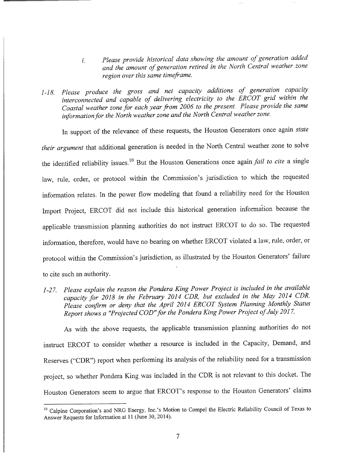- *Please provide historical data showing the amount of generation added*  $\dot{i}$ . *and the amount of generation retired in the North Central weather zone region over this same timeframe.*
- *1-18. Please produce the gross and net capacity additions of generation capacity interconnected and capable of delivering electricity to the ERCOT grid within the Coastal weather zone for each year from 2006 to the present. Please provide the same information for the North weather zone and the North Central weather zone.*

In support of the relevance of these requests, the Houston Generators once again *state their argument* that additional generation is needed in the North Central weather zone to solve the identified reliability issues.10 But the Houston Generations once again *fail to cite* a single law, rule, order, or protocol within the Commission's jurisdiction to which the requested information relates. In the power flow modeling that found a reliability need for the Houston Import Project, ERCOT did not include this historical generation information because the applicable transmission planning authorities do not instruct ERCOT to do so. The requested information, therefore, would have no bearing on whether ERCOT violated a law, rule, order, or protocol within the Commission's jurisdiction, as illustrated by the Houston Generators' failure to cite such an authority.

*1-27. Please explain the reason the Pondera King Power Project is included in the available capacity for 2018 in the February 2014 CDR, but excluded in the May 2014 CDR. Please confirm or deny that the April 2014 ERCOT System Planning Monthly Status Report shows a "Projected COD "for the Pondera King Power Project of July 2017.*

As with the above requests, the applicable transmission planning authorities do not instruct ERCOT to consider whether a resource is included in the Capacity, Demand, and Reserves ("CDR") report when performing its analysis of the reliability need for a transmission project, so whether Pondera King was included in the CDR is not relevant to this docket. The Houston Generators seem to argue that ERCOT's response to the Houston Generators' claims

<sup>&</sup>lt;sup>10</sup> Calpine Corporation's and NRG Energy, Inc.'s Motion to Compel the Electric Reliability Council of Texas to Answer Requests for Information at 11 (June 30, 2014).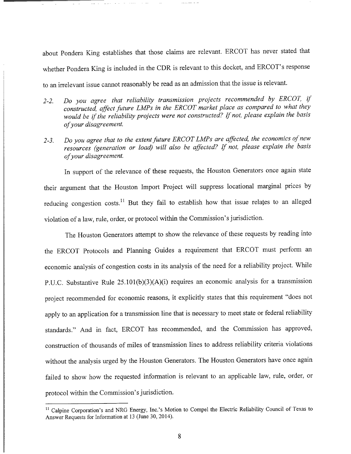**about Pondera King establishes that those claims are relevant.** ERCOT has **never stated that whether Pondera King is included in the CDR is relevant to this docket,** and ERCOT's **response to an irrelevant issue cannot reasonably be read as an admission that the issue is relevant.**

- *2-2. Do you agree that reliability transmission projects recommended by ERCOT, if constructed, affect future LMPs in the ERCOT market place as compared to what they would be if the reliability projects were not constructed? If not, please explain the basis of your disagreement.*
- *2-3. Do you agree that to the extent future ERCOT LIVIPs are affected, the economics of new resources (generation or load) will also be affected? If not, please explain the basis of your disagreement.*

**In support** of the **relevance of these requests, the Houston Generators once again state their argument that the Houston Import Project will suppress locational marginal prices by reducing congestion costs." But they fail to establish how that issue relates to an alleged violation of a law, rule, order, or protocol within the Commission's jurisdiction.**

**The Houston Generators attempt to show the relevance of these requests by reading into** the ERCOT Protocols and Planning Guides a requirement that ERCOT must perform an economic analysis of congestion costs in its analysis of the need for a reliability project. While P.U.C. Substantive Rule 25.10I(b)(3)(A)(i) requires an economic analysis for a transmission project recommended for economic reasons, it explicitly states that this requirement "does not apply to an application for a transmission line that is necessary to meet state or federal reliability standards." And in fact, ERCOT has recommended, and the Commission has approved, construction of thousands of miles of transmission lines to address reliability criteria violations without the analysis urged by the Houston Generators. The Houston Generators have once again failed to show how the requested information is relevant to an applicable law, rule, order, or protocol within the Commission's jurisdiction.

<sup>&</sup>lt;sup>11</sup> Calpine Corporation's and NRG Energy, Inc.'s Motion to Compel the Electric Reliability Council of Texas to Answer Requests for Information at 13 (June 30, 2014).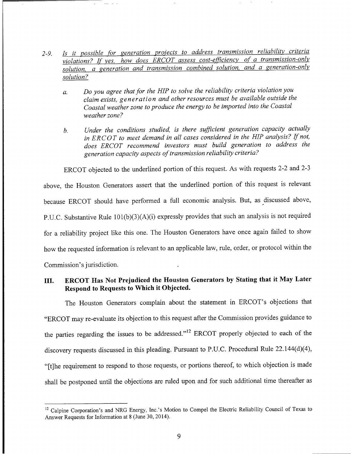- *2-9. Is it possible for generation projects to address transmission reliability criteria violations? If yes how does ERCOT assess cost-efficiency of a transmission-only solution, a generation and transmission combined solution , and a generation-only solution?*
	- *a. Do you agree that for the HIP to solve the reliability criteria violation you claim exists, generation and other resources must be available outside the Coastal weather zone to produce the energy to be imported into the Coastal weather zone?*
	- *b. Under the conditions studied, is there sufficient generation capacity actually in ERCOT to meet demand in all cases considered in the HIP analysis? If not, does ERCOT recommend investors must build generation to address the generation capacity aspects oftransmission reliability criteria?*

ERCOT objected to the underlined portion of this request. As with requests 2-2 and 2-3 above, the Houston Generators assert that the underlined portion of this request is relevant because ERCOT should have performed a full economic analysis. But, as discussed above, P.U.C. Substantive Rule 101(b)(3)(A)(i) expressly provides that such an analysis is not required for a reliability project like this one. The Houston Generators have once again failed to show how the requested information is relevant to an applicable law, rule, order, or protocol within the Commission's jurisdiction.

## III. ERCOT Has Not Prejudiced the Houston Generators by Stating that it May Later Respond to Requests to Which it Objected.

**The Houston Generators complain about the statement** in ERCOT's **objections that** "ERCOT may re-evaluate its objection to this request after the Commission provides guidance to the parties regarding the issues to be addressed."<sup>12</sup> ERCOT properly objected to each of the discovery requests discussed in this pleading. Pursuant to P.U.C. Procedural Rule 22.144(d)(4), "[t]he requirement to respond to those requests, or portions thereof, to which objection is made shall be postponed until the objections are ruled upon and for such additional time thereafter as

<sup>&</sup>lt;sup>12</sup> Calpine Corporation's and NRG Energy, Inc.'s Motion to Compel the Electric Reliability Council of Texas to Answer Requests for Information at 8 (June 30, 2014).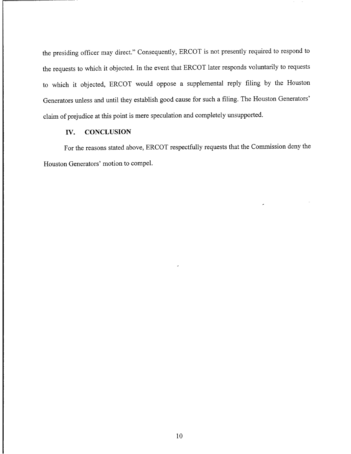the presiding officer may direct." Consequently, ERCOT is not presently required to respond to the requests to which it objected. In the event that ERCOT later responds voluntarily to requests to which it objected, ERCOT would oppose a supplemental reply filing by the Houston Generators unless and until they establish good cause for such a filing. The Houston Generators' claim of prejudice at this point is mere speculation and completely unsupported.

#### IV. CONCLUSION

For the reasons stated above, ERCOT respectfully requests that the Commission deny the Houston Generators' motion to compel.